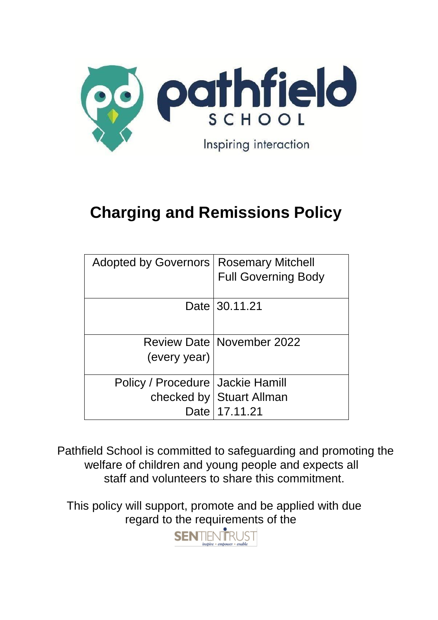

# **Charging and Remissions Policy**

| Adopted by Governors   Rosemary Mitchell |                                    |
|------------------------------------------|------------------------------------|
|                                          | <b>Full Governing Body</b>         |
|                                          |                                    |
|                                          | Date 30.11.21                      |
|                                          |                                    |
|                                          |                                    |
|                                          | <b>Review Date   November 2022</b> |
| (every year)                             |                                    |
|                                          |                                    |
| Policy / Procedure   Jackie Hamill       |                                    |
|                                          | checked by   Stuart Allman         |
| Date                                     | 17.11.21                           |

Pathfield School is committed to safeguarding and promoting the welfare of children and young people and expects all staff and volunteers to share this commitment.

This policy will support, promote and be applied with due regard to the requirements of the

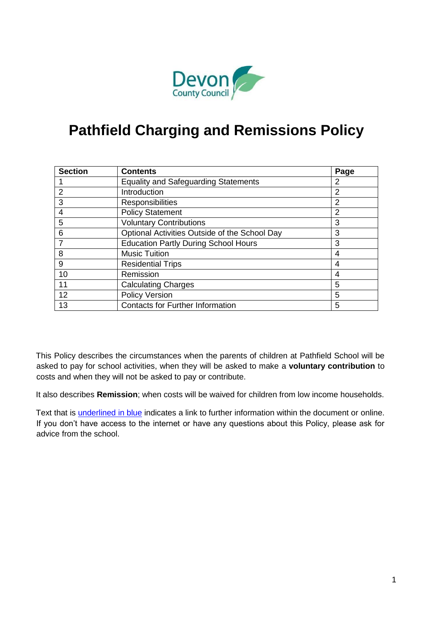

# **Pathfield Charging and Remissions Policy**

| <b>Section</b> | <b>Contents</b>                               | Page           |
|----------------|-----------------------------------------------|----------------|
|                | <b>Equality and Safeguarding Statements</b>   | 2              |
| 2              | Introduction                                  | $\overline{2}$ |
| 3              | Responsibilities                              | 2              |
| 4              | <b>Policy Statement</b>                       | 2              |
| 5              | <b>Voluntary Contributions</b>                | 3              |
| 6              | Optional Activities Outside of the School Day | 3              |
| 7              | <b>Education Partly During School Hours</b>   | 3              |
| 8              | <b>Music Tuition</b>                          | 4              |
| 9              | <b>Residential Trips</b>                      | 4              |
| 10             | Remission                                     | 4              |
| 11             | <b>Calculating Charges</b>                    | 5              |
| 12             | <b>Policy Version</b>                         | 5              |
| 13             | <b>Contacts for Further Information</b>       | 5              |

This Policy describes the circumstances when the parents of children at Pathfield School will be asked to pay for school activities, when they will be asked to make a **voluntary contribution** to costs and when they will not be asked to pay or contribute.

It also describes **Remission**; when costs will be waived for children from low income households.

Text that is *underlined in blue* indicates a link to further information within the document or online. If you don't have access to the internet or have any questions about this Policy, please ask for advice from the school.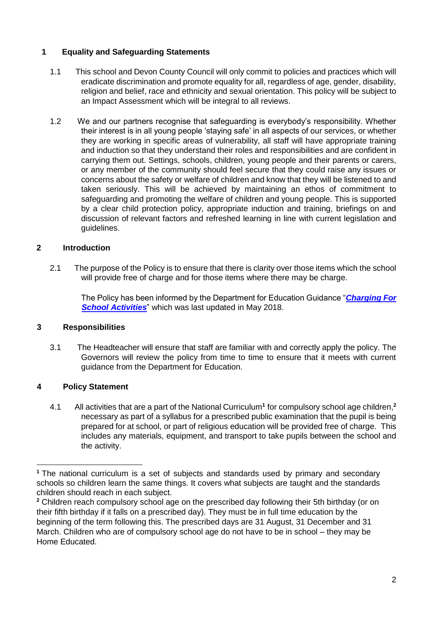# **1 Equality and Safeguarding Statements**

- 1.1 This school and Devon County Council will only commit to policies and practices which will eradicate discrimination and promote equality for all, regardless of age, gender, disability, religion and belief, race and ethnicity and sexual orientation. This policy will be subject to an Impact Assessment which will be integral to all reviews.
- 1.2 We and our partners recognise that safeguarding is everybody's responsibility. Whether their interest is in all young people 'staying safe' in all aspects of our services, or whether they are working in specific areas of vulnerability, all staff will have appropriate training and induction so that they understand their roles and responsibilities and are confident in carrying them out. Settings, schools, children, young people and their parents or carers, or any member of the community should feel secure that they could raise any issues or concerns about the safety or welfare of children and know that they will be listened to and taken seriously. This will be achieved by maintaining an ethos of commitment to safeguarding and promoting the welfare of children and young people. This is supported by a clear child protection policy, appropriate induction and training, briefings on and discussion of relevant factors and refreshed learning in line with current legislation and guidelines.

# **2 Introduction**

2.1 The purpose of the Policy is to ensure that there is clarity over those items which the school will provide free of charge and for those items where there may be charge.

The Policy has been informed by the Department for Education Guidance "*[Charging For](https://www.gov.uk/government/publications/charging-for-school-activities) [School Activities](https://www.gov.uk/government/publications/charging-for-school-activities)*["](https://www.gov.uk/government/publications/charging-for-school-activities) which was last updated in May 2018.

# **3 Responsibilities**

3.1 The Headteacher will ensure that staff are familiar with and correctly apply the policy. The Governors will review the policy from time to time to ensure that it meets with current guidance from the Department for Education.

# **4 Policy Statement**

4.1 All activities that are a part of the National Curriculum**<sup>1</sup>** for compulsory school age children,**<sup>2</sup>** necessary as part of a syllabus for a prescribed public examination that the pupil is being prepared for at school, or part of religious education will be provided free of charge. This includes any materials, equipment, and transport to take pupils between the school and the activity.

**<sup>1</sup>** The national curriculum is a set of subjects and standards used by primary and secondary schools so children learn the same things. It covers what subjects are taught and the standards children should reach in each subject.

**<sup>2</sup>** Children reach compulsory school age on the prescribed day following their 5th birthday (or on their fifth birthday if it falls on a prescribed day). They must be in full time education by the beginning of the term following this. The prescribed days are 31 August, 31 December and 31 March. Children who are of compulsory school age do not have to be in school – they may be Home Educated.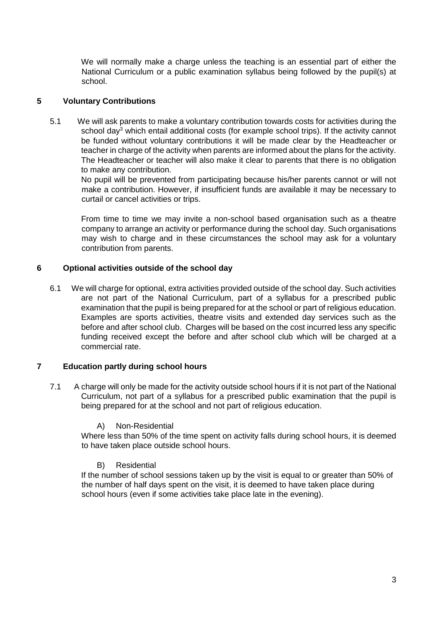We will normally make a charge unless the teaching is an essential part of either the National Curriculum or a public examination syllabus being followed by the pupil(s) at school.

# **5 Voluntary Contributions**

5.1 We will ask parents to make a voluntary contribution towards costs for activities during the school day<sup>3</sup> which entail additional costs (for example school trips). If the activity cannot be funded without voluntary contributions it will be made clear by the Headteacher or teacher in charge of the activity when parents are informed about the plans for the activity. The Headteacher or teacher will also make it clear to parents that there is no obligation to make any contribution.

No pupil will be prevented from participating because his/her parents cannot or will not make a contribution. However, if insufficient funds are available it may be necessary to curtail or cancel activities or trips.

From time to time we may invite a non-school based organisation such as a theatre company to arrange an activity or performance during the school day. Such organisations may wish to charge and in these circumstances the school may ask for a voluntary contribution from parents.

#### **6 Optional activities outside of the school day**

6.1 We will charge for optional, extra activities provided outside of the school day. Such activities are not part of the National Curriculum, part of a syllabus for a prescribed public examination that the pupil is being prepared for at the school or part of religious education. Examples are sports activities, theatre visits and extended day services such as the before and after school club. Charges will be based on the cost incurred less any specific funding received except the before and after school club which will be charged at a commercial rate.

#### **7 Education partly during school hours**

7.1 A charge will only be made for the activity outside school hours if it is not part of the National Curriculum, not part of a syllabus for a prescribed public examination that the pupil is being prepared for at the school and not part of religious education.

#### A) Non-Residential

Where less than 50% of the time spent on activity falls during school hours, it is deemed to have taken place outside school hours.

#### B) Residential

If the number of school sessions taken up by the visit is equal to or greater than 50% of the number of half days spent on the visit, it is deemed to have taken place during school hours (even if some activities take place late in the evening).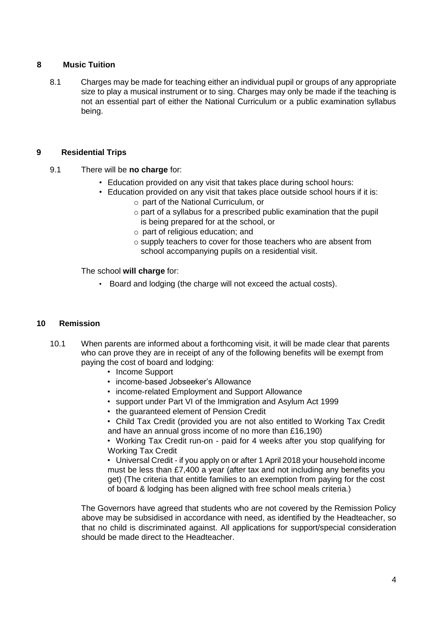#### **8 Music Tuition**

8.1 Charges may be made for teaching either an individual pupil or groups of any appropriate size to play a musical instrument or to sing. Charges may only be made if the teaching is not an essential part of either the National Curriculum or a public examination syllabus being.

#### **9 Residential Trips**

- 9.1 There will be **no charge** for:
	- Education provided on any visit that takes place during school hours:
	- Education provided on any visit that takes place outside school hours if it is: o part of the National Curriculum, or
		- o part of a syllabus for a prescribed public examination that the pupil is being prepared for at the school, or
		- o part of religious education; and
		- o supply teachers to cover for those teachers who are absent from school accompanying pupils on a residential visit.

The school **will charge** for:

• Board and lodging (the charge will not exceed the actual costs).

#### **10 Remission**

- 10.1 When parents are informed about a forthcoming visit, it will be made clear that parents who can prove they are in receipt of any of the following benefits will be exempt from paying the cost of board and lodging:
	- Income Support
	- income-based Jobseeker's Allowance
	- income-related Employment and Support Allowance
	- support under Part VI of the Immigration and Asylum Act 1999
	- the guaranteed element of Pension Credit
	- Child Tax Credit (provided you are not also entitled to Working Tax Credit and have an annual gross income of no more than £16,190)

• Working Tax Credit run-on - paid for 4 weeks after you stop qualifying for Working Tax Credit

• Universal Credit - if you apply on or after 1 April 2018 your household income must be less than £7,400 a year (after tax and not including any benefits you get) (The criteria that entitle families to an exemption from paying for the cost of board & lodging has been aligned with free school meals criteria.)

The Governors have agreed that students who are not covered by the Remission Policy above may be subsidised in accordance with need, as identified by the Headteacher, so that no child is discriminated against. All applications for support/special consideration should be made direct to the Headteacher.